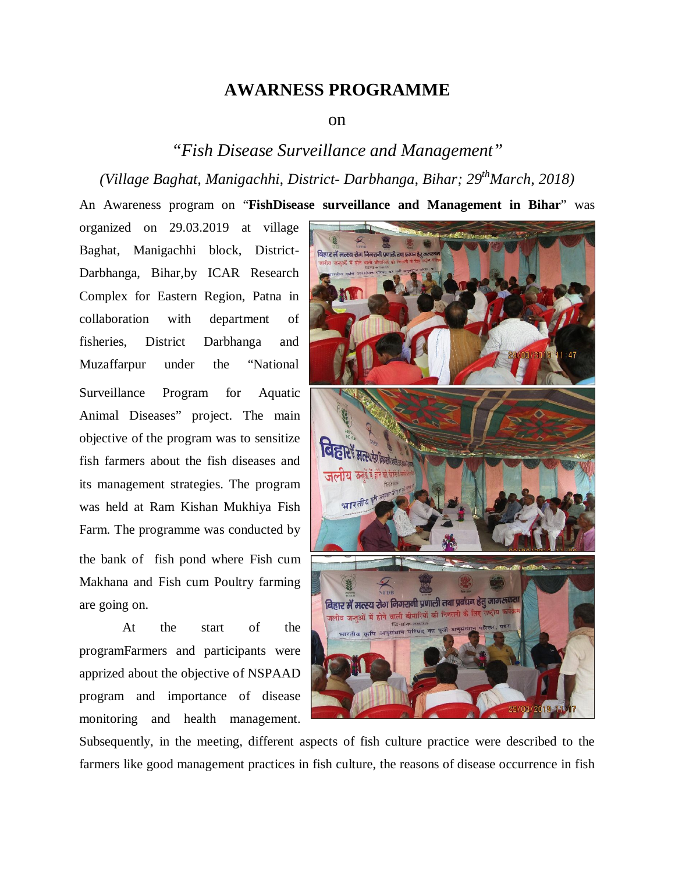## **AWARNESS PROGRAMME**

## on

## *"Fish Disease Surveillance and Management" (Village Baghat, Manigachhi, District- Darbhanga, Bihar; 29 thMarch, 2018)*

An Awareness program on "**FishDisease surveillance and Management in Bihar**" was

organized on 29.03.2019 at village Baghat, Manigachhi block, District-Darbhanga, Bihar,by ICAR Research Complex for Eastern Region, Patna in collaboration with department of fisheries, District Darbhanga and Muzaffarpur under the "National Surveillance Program for Aquatic Animal Diseases" project. The main objective of the program was to sensitize fish farmers about the fish diseases and its management strategies. The program was held at Ram Kishan Mukhiya Fish Farm. The programme was conducted by the bank of fish pond where Fish cum Makhana and Fish cum Poultry farming are going on.

At the start of the programFarmers and participants were apprized about the objective of NSPAAD program and importance of disease monitoring and health management.



Subsequently, in the meeting, different aspects of fish culture practice were described to the farmers like good management practices in fish culture, the reasons of disease occurrence in fish